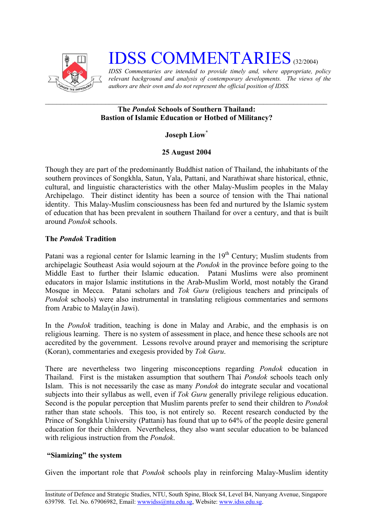

# **IDSS COMMENTARIES** (32/2004)

*IDSS Commentaries are intended to provide timely and, where appropriate, policy relevant background and analysis of contemporary developments. The views of the authors are their own and do not represent the official position of IDSS.* 

#### **The** *Pondok* **Schools of Southern Thailand: Bastion of Islamic Education or Hotbed of Militancy?**

## **Joseph Lio[w\\*](#page-2-0)**

## **25 August 2004**

Though they are part of the predominantly Buddhist nation of Thailand, the inhabitants of the southern provinces of Songkhla, Satun, Yala, Pattani, and Narathiwat share historical, ethnic, cultural, and linguistic characteristics with the other Malay-Muslim peoples in the Malay Archipelago. Their distinct identity has been a source of tension with the Thai national identity. This Malay-Muslim consciousness has been fed and nurtured by the Islamic system of education that has been prevalent in southern Thailand for over a century, and that is built around *Pondok* schools.

## **The** *Pondok* **Tradition**

Patani was a regional center for Islamic learning in the  $19<sup>th</sup>$  Century; Muslim students from archipelagic Southeast Asia would sojourn at the *Pondok* in the province before going to the Middle East to further their Islamic education. Patani Muslims were also prominent educators in major Islamic institutions in the Arab-Muslim World, most notably the Grand Mosque in Mecca. Patani scholars and *Tok Guru* (religious teachers and principals of *Pondok* schools) were also instrumental in translating religious commentaries and sermons from Arabic to Malay(in Jawi).

In the *Pondok* tradition, teaching is done in Malay and Arabic, and the emphasis is on religious learning. There is no system of assessment in place, and hence these schools are not accredited by the government. Lessons revolve around prayer and memorising the scripture (Koran), commentaries and exegesis provided by *Tok Guru*.

There are nevertheless two lingering misconceptions regarding *Pondok* education in Thailand. First is the mistaken assumption that southern Thai *Pondok* schools teach only Islam. This is not necessarily the case as many *Pondok* do integrate secular and vocational subjects into their syllabus as well, even if *Tok Guru* generally privilege religious education. Second is the popular perception that Muslim parents prefer to send their children to *Pondok* rather than state schools. This too, is not entirely so. Recent research conducted by the Prince of Songkhla University (Pattani) has found that up to 64% of the people desire general education for their children. Nevertheless, they also want secular education to be balanced with religious instruction from the *Pondok*.

#### **"Siamizing" the system**

Given the important role that *Pondok* schools play in reinforcing Malay-Muslim identity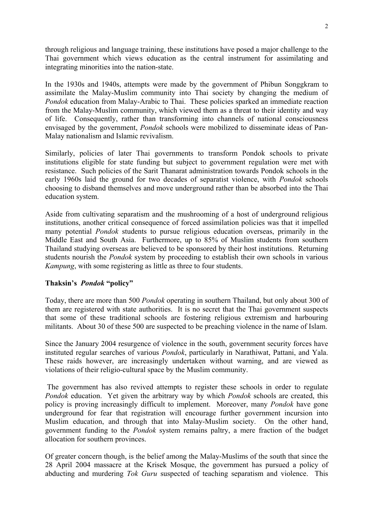through religious and language training, these institutions have posed a major challenge to the Thai government which views education as the central instrument for assimilating and integrating minorities into the nation-state.

In the 1930s and 1940s, attempts were made by the government of Phibun Songgkram to assimilate the Malay-Muslim community into Thai society by changing the medium of *Pondok* education from Malay-Arabic to Thai. These policies sparked an immediate reaction from the Malay-Muslim community, which viewed them as a threat to their identity and way of life. Consequently, rather than transforming into channels of national consciousness envisaged by the government, *Pondok* schools were mobilized to disseminate ideas of Pan-Malay nationalism and Islamic revivalism.

Similarly, policies of later Thai governments to transform Pondok schools to private institutions eligible for state funding but subject to government regulation were met with resistance. Such policies of the Sarit Thanarat administration towards Pondok schools in the early 1960s laid the ground for two decades of separatist violence, with *Pondok* schools choosing to disband themselves and move underground rather than be absorbed into the Thai education system.

Aside from cultivating separatism and the mushrooming of a host of underground religious institutions, another critical consequence of forced assimilation policies was that it impelled many potential *Pondok* students to pursue religious education overseas, primarily in the Middle East and South Asia. Furthermore, up to 85% of Muslim students from southern Thailand studying overseas are believed to be sponsored by their host institutions. Returning students nourish the *Pondok* system by proceeding to establish their own schools in various *Kampung*, with some registering as little as three to four students.

#### **Thaksin's** *Pondok* **"policy"**

Today, there are more than 500 *Pondok* operating in southern Thailand, but only about 300 of them are registered with state authorities. It is no secret that the Thai government suspects that some of these traditional schools are fostering religious extremism and harbouring militants. About 30 of these 500 are suspected to be preaching violence in the name of Islam.

Since the January 2004 resurgence of violence in the south, government security forces have instituted regular searches of various *Pondok*, particularly in Narathiwat, Pattani, and Yala. These raids however, are increasingly undertaken without warning, and are viewed as violations of their religio-cultural space by the Muslim community.

The government has also revived attempts to register these schools in order to regulate *Pondok* education. Yet given the arbitrary way by which *Pondok* schools are created, this policy is proving increasingly difficult to implement. Moreover, many *Pondok* have gone underground for fear that registration will encourage further government incursion into Muslim education, and through that into Malay-Muslim society. On the other hand, government funding to the *Pondok* system remains paltry, a mere fraction of the budget allocation for southern provinces.

Of greater concern though, is the belief among the Malay-Muslims of the south that since the 28 April 2004 massacre at the Krisek Mosque, the government has pursued a policy of abducting and murdering *Tok Guru* suspected of teaching separatism and violence. This